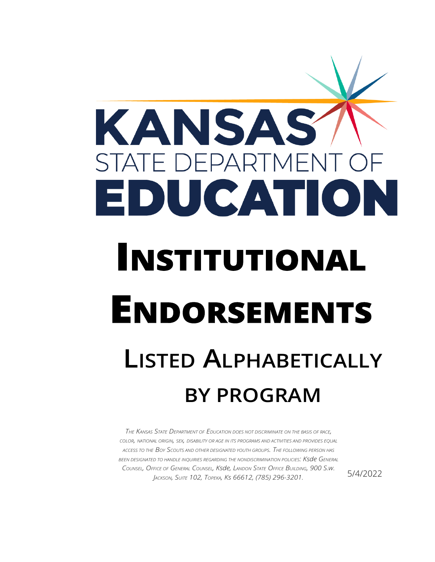

*THE KANSAS STATE DEPARTMENT OF EDUCATION DOES NOT DISCRIMINATE ON THE BASIS OF RACE, COLOR, NATIONAL ORIGIN, SEX, DISABILITY OR AGE IN ITS PROGRAMS AND ACTIVITIES AND PROVIDES EQUAL ACCESS TO THE BOY SCOUTS AND OTHER DESIGNATED YOUTH GROUPS. THE FOLLOWING PERSON HAS BEEN DESIGNATED TO HANDLE INQUIRIES REGARDING THE NONDISCRIMINATION POLICIES: Ksde GENERAL COUNSEL, OFFICE OF GENERAL COUNSEL, Ksde, LANDON STATE OFFICE BUILDING, 900 S.w. JACKSON, SUITE 102, TOPEKA, Ks 66612, (785) 296-3201.*

5/4/2022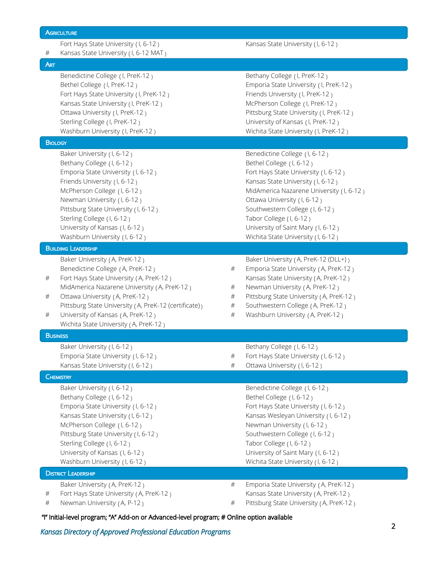# Fort Hays State University (1, 6-12) Kansas State University (1, 6-12) # Kansas State University ( I, 6-12 MAT ) ART Benedictine College ( I, PreK-12 ) Bethany College ( I, PreK-12 ) Bethel College ( I, PreK-12 ) The State University ( I, PreK-12 ) Fort Hays State University ( I, PreK-12 ) Friends University ( I, PreK-12 ) Kansas State University (1, PreK-12) McPherson College (1, PreK-12) Ottawa University ( I, PreK-12 ) Chromateur Matte University ( I, PreK-12 ) Sterling College ( I, PreK-12 ) University of Kansas ( I, PreK-12 ) Washburn University ( I, PreK-12 ) Wichita State University ( I, PreK-12 ) **BIOLOGY** Baker University (1, 6-12) Contact the Benedictine College (1, 6-12) Bethany College (1, 6-12) Bethel College (1, 6-12) Emporia State University (1, 6-12) Fort Hays State University (1, 6-12) Friends University (I, 6-12) The Review of the Kansas State University (I, 6-12) MidAmerica Nazarene University (1, 6-12 ) MidAmerica Nazarene University (1, 6-12 ) Newman University (1, 6-12) Cttawa University (1, 6-12) Pittsburg State University (1, 6-12) Southwestern College (1, 6-12) Sterling College (I, 6-12) Tabor College (I, 6-12) University of Kansas (1, 6-12) University of Saint Mary (1, 6-12) Washburn University (1, 6-12) Wichita State University (1, 6-12) BUILDING LEADERSHIP Baker University (A, PreK-12 ) Baker University (A, PreK-12 (DLL+) ) Benedictine College ( A, PreK-12 ) # Emporia State University ( A, PreK-12 ) # Fort Hays State University (A, PreK-12) Kansas State University (A, PreK-12) MidAmerica Nazarene University (A, PreK-12)  $\qquad \qquad \# \qquad$  Newman University (A, PreK-12) # Ottawa University (A, PreK-12)  $\qquad \qquad \qquad \qquad \qquad$  Pittsburg State University (A, PreK-12) Pittsburg State University (A, PreK-12 (certificate)  $\qquad \qquad # \qquad$  Southwestern College (A, PreK-12 ) # University of Kansas (A, PreK-12) # Washburn University (A, PreK-12) Wichita State University ( A, PreK-12 ) **BUSINESS** Baker University (1, 6-12) Saker University (1, 6-12) Emporia State University ( I, 6-12 ) # Fort Hays State University ( I, 6-12 ) Kansas State University (1, 6-12)  $\qquad \qquad \qquad \qquad \qquad \qquad \qquad \qquad \qquad \qquad \qquad$  Ottawa University (1, 6-12) **CHEMISTRY** Baker University (1, 6-12) Contact the Benedictine College (1, 6-12) Bethany College (1, 6-12) Bethel College (1, 6-12) Emporia State University (1, 6-12) Fort Hays State University (1, 6-12) Kansas State University (1, 6-12) Kansas Wesleyan University (1, 6-12) McPherson College (1, 6-12) Newman University (1, 6-12) Pittsburg State University (1, 6-12) Southwestern College (1, 6-12) Sterling College (1, 6-12) Tabor College (1, 6-12) University of Kansas (1, 6-12) University of Saint Mary (1, 6-12) Washburn University (1, 6-12) Wichita State University (1, 6-12) **DISTRICT LEADERSHIP** Baker University (A, PreK-12) **#** Emporia State University (A, PreK-12) Fort Hays State University (A, PreK-12) Kansas State University (A, PreK-12)

Newman University (A, P-12)  $\qquad \qquad \qquad \qquad \qquad \qquad \qquad$  Pittsburg State University (A, PreK-12)

**AGRICULTURE** 

"I" Initial-level program; "A" Add-on or Advanced-level program; # Online option available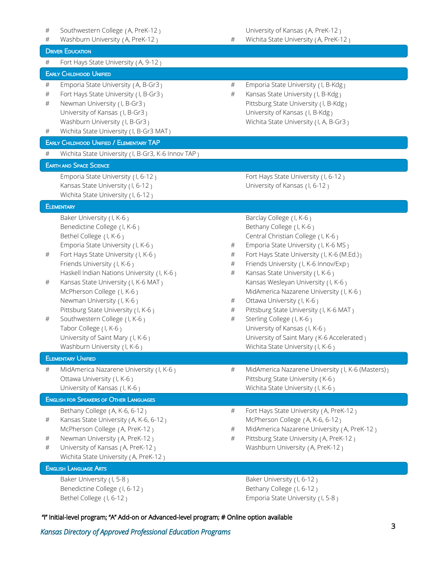# Southwestern College ( A, PreK-12 ) University of Kansas ( A, PreK-12 ) # Washburn University (A, PreK-12)  $\qquad \qquad \qquad \qquad \qquad \qquad \qquad$  Wichita State University (A, PreK-12) **DRIVER EDUCATION** # Fort Hays State University ( A, 9-12 ) EARLY CHILDHOOD UNIFIED # Emporia State University ( A, B-Gr3 ) # Emporia State University ( I, B-Kdg ) # Fort Hays State University ( I, B-Gr3 ) # Kansas State University ( I, B-Kdg ) # Newman University (1, B-Gr3) 2008 2014 1997 Pittsburg State University (1, B-Kdg) University of Kansas (I, B-Gr3) University of Kansas (I, B-Kdg) Washburn University (I, B-Gr3) Wichita State University (I, A, B-Gr3) # Wichita State University ( I, B-Gr3 MAT ) EARLY CHILDHOOD UNIFIED / ELEMENTARY TAP # Wichita State University ( I, B-Gr3, K-6 Innov TAP ) EARTH AND SPACE SCIENCE Emporia State University (1, 6-12) Fort Hays State University (1, 6-12) Kansas State University (I, 6-12) Charles Communisty of Kansas (I, 6-12) Wichita State University (1, 6-12) **ELEMENTARY** Baker University (I, K-6) Sarclay College (I, K-6) Benedictine College (I, K-6) Benedictine College (I, K-6) Bethel College ( I, K-6 ) Central Christian College ( I, K-6 ) Emporia State University ( I, K-6 )  $\qquad \qquad \qquad \qquad \qquad \qquad \qquad$  Emporia State University ( I, K-6 MS ) # Fort Hays State University ( I, K-6 ) # Fort Hays State University ( I, K-6 (M.Ed.) ) Friends University ( I, K-6 ) The Section of the Section of the Section of the Section of the Section of the Section of the Section of the Section of the Section of the Section of the Section of the Section of the Section Haskell Indian Nations University ( I, K-6 )  $\qquad$  # Kansas State University ( I, K-6 ) # Kansas State University ( I, K-6 MAT ) Kansas Wesleyan University ( I, K-6 ) McPherson College (I, K-6) MidAmerica Nazarene University (I, K-6) Newman University ( I, K-6 )  $\#$  Ottawa University ( I, K-6 ) Pittsburg State University ( I, K-6 )  $\qquad \qquad \qquad \qquad \qquad \qquad \qquad$  Pittsburg State University ( I, K-6 MAT ) # Southwestern College ( I, K-6 ) # Sterling College ( I, K-6 ) Tabor College ( I, K-6 ) Tabor College ( I, K-6 ) University of Saint Mary (I, K-6) Chiversity of Saint Mary (K-6 Accelerated ) Washburn University (I, K-6) Nichita State University (I, K-6) ELEMENTARY UNIFIED # MidAmerica Nazarene University ( I, K-6 ) # MidAmerica Nazarene University ( I, K-6 (Masters) ) Ottawa University ( I, K-6 ) The Contract of Pittsburg State University ( K-6 ) University of Kansas ( I, K-6 ) The University of Kansas ( I, K-6 ) ENGLISH FOR SPEAKERS OF OTHER LANGUAGES Bethany College ( A, K-6, 6-12 ) # Fort Hays State University ( A, PreK-12 ) # Kansas State University ( A, K-6, 6-12 ) McPherson College ( A, K-6, 6-12 ) McPherson College (A, PreK-12)  $\qquad \qquad \qquad \qquad \qquad \qquad$  MidAmerica Nazarene University (A, PreK-12) # Newman University ( A, PreK-12 ) # Pittsburg State University ( A, PreK-12 ) # University of Kansas ( A, PreK-12 ) Washburn University ( A, PreK-12 ) Wichita State University (A, PreK-12) ENGLISH LANGUAGE ARTS Baker University (1, 5-8) Baker University (1, 6-12)

"I" Initial-level program; "A" Add-on or Advanced-level program; # Online option available

Benedictine College (1, 6-12) Bethany College (1, 6-12) Bethel College (1, 6-12) **Emporia State University (1, 5-8)**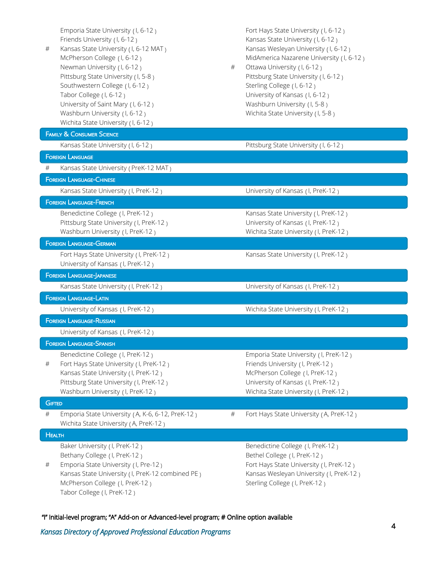| # | Emporia State University (I, 6-12)<br>Friends University (1, 6-12)<br>Kansas State University (1, 6-12 MAT)<br>McPherson College (I, 6-12)<br>Newman University (I, 6-12)<br>Pittsburg State University (I, 5-8)<br>Southwestern College (I, 6-12)<br>Tabor College (I, 6-12)<br>University of Saint Mary (I, 6-12)<br>Washburn University (I, 6-12)<br>Wichita State University (I, 6-12) | $\#$ | Fort Hays State University (I, 6-12)<br>Kansas State University (I, 6-12)<br>Kansas Wesleyan University (I, 6-12)<br>MidAmerica Nazarene University (I, 6-12)<br>Ottawa University (I, 6-12)<br>Pittsburg State University (I, 6-12)<br>Sterling College (I, 6-12)<br>University of Kansas (I, 6-12)<br>Washburn University (I, 5-8)<br>Wichita State University (I, 5-8) |  |
|---|--------------------------------------------------------------------------------------------------------------------------------------------------------------------------------------------------------------------------------------------------------------------------------------------------------------------------------------------------------------------------------------------|------|---------------------------------------------------------------------------------------------------------------------------------------------------------------------------------------------------------------------------------------------------------------------------------------------------------------------------------------------------------------------------|--|
|   | <b>FAMILY &amp; CONSUMER SCIENCE</b>                                                                                                                                                                                                                                                                                                                                                       |      |                                                                                                                                                                                                                                                                                                                                                                           |  |
|   | Kansas State University (I, 6-12)                                                                                                                                                                                                                                                                                                                                                          |      | Pittsburg State University (I, 6-12)                                                                                                                                                                                                                                                                                                                                      |  |
|   | <b>FOREIGN LANGUAGE</b>                                                                                                                                                                                                                                                                                                                                                                    |      |                                                                                                                                                                                                                                                                                                                                                                           |  |
| # | Kansas State University (PreK-12 MAT)                                                                                                                                                                                                                                                                                                                                                      |      |                                                                                                                                                                                                                                                                                                                                                                           |  |
|   | <b>FOREIGN LANGUAGE-CHINESE</b>                                                                                                                                                                                                                                                                                                                                                            |      |                                                                                                                                                                                                                                                                                                                                                                           |  |
|   | Kansas State University (I, PreK-12)                                                                                                                                                                                                                                                                                                                                                       |      | University of Kansas (I, PreK-12)                                                                                                                                                                                                                                                                                                                                         |  |
|   | <b>FOREIGN LANGUAGE-FRENCH</b>                                                                                                                                                                                                                                                                                                                                                             |      |                                                                                                                                                                                                                                                                                                                                                                           |  |
|   | Benedictine College (I, PreK-12)                                                                                                                                                                                                                                                                                                                                                           |      | Kansas State University (I, PreK-12)                                                                                                                                                                                                                                                                                                                                      |  |
|   | Pittsburg State University (I, PreK-12)                                                                                                                                                                                                                                                                                                                                                    |      | University of Kansas (I, PreK-12)                                                                                                                                                                                                                                                                                                                                         |  |
|   | Washburn University (I, PreK-12)<br><b>FOREIGN LANGUAGE-GERMAN</b>                                                                                                                                                                                                                                                                                                                         |      | Wichita State University (I, PreK-12)                                                                                                                                                                                                                                                                                                                                     |  |
|   |                                                                                                                                                                                                                                                                                                                                                                                            |      |                                                                                                                                                                                                                                                                                                                                                                           |  |
|   | Fort Hays State University (I, PreK-12)<br>University of Kansas (I, PreK-12)                                                                                                                                                                                                                                                                                                               |      | Kansas State University (I, PreK-12)                                                                                                                                                                                                                                                                                                                                      |  |
|   | <b>FOREIGN LANGUAGE-JAPANESE</b>                                                                                                                                                                                                                                                                                                                                                           |      |                                                                                                                                                                                                                                                                                                                                                                           |  |
|   | Kansas State University (I, PreK-12)                                                                                                                                                                                                                                                                                                                                                       |      | University of Kansas (I, PreK-12)                                                                                                                                                                                                                                                                                                                                         |  |
|   | <b>FOREIGN LANGUAGE-LATIN</b>                                                                                                                                                                                                                                                                                                                                                              |      |                                                                                                                                                                                                                                                                                                                                                                           |  |
|   | University of Kansas (I, PreK-12)                                                                                                                                                                                                                                                                                                                                                          |      | Wichita State University (I, PreK-12)                                                                                                                                                                                                                                                                                                                                     |  |
|   | <b>FOREIGN LANGUAGE-RUSSIAN</b>                                                                                                                                                                                                                                                                                                                                                            |      |                                                                                                                                                                                                                                                                                                                                                                           |  |
|   | University of Kansas (I, PreK-12)                                                                                                                                                                                                                                                                                                                                                          |      |                                                                                                                                                                                                                                                                                                                                                                           |  |
|   | <b>FOREIGN LANGUAGE-SPANISH</b>                                                                                                                                                                                                                                                                                                                                                            |      |                                                                                                                                                                                                                                                                                                                                                                           |  |
|   | Benedictine College (I, PreK-12)                                                                                                                                                                                                                                                                                                                                                           |      | Emporia State University (I, PreK-12)                                                                                                                                                                                                                                                                                                                                     |  |
| # | Fort Hays State University (I, PreK-12)                                                                                                                                                                                                                                                                                                                                                    |      | Friends University (I, PreK-12)                                                                                                                                                                                                                                                                                                                                           |  |
|   | Kansas State University (I, PreK-12)<br>Pittsburg State University (I, PreK-12)                                                                                                                                                                                                                                                                                                            |      | McPherson College (I, PreK-12)                                                                                                                                                                                                                                                                                                                                            |  |
|   | Washburn University (I, PreK-12)                                                                                                                                                                                                                                                                                                                                                           |      | University of Kansas (I, PreK-12)<br>Wichita State University (I, PreK-12)                                                                                                                                                                                                                                                                                                |  |
|   | <b>GIFTED</b>                                                                                                                                                                                                                                                                                                                                                                              |      |                                                                                                                                                                                                                                                                                                                                                                           |  |
| # | Emporia State University (A, K-6, 6-12, PreK-12)                                                                                                                                                                                                                                                                                                                                           | $\#$ | Fort Hays State University (A, PreK-12)                                                                                                                                                                                                                                                                                                                                   |  |
|   | Wichita State University (A, PreK-12)                                                                                                                                                                                                                                                                                                                                                      |      |                                                                                                                                                                                                                                                                                                                                                                           |  |
|   | <b>HEALTH</b>                                                                                                                                                                                                                                                                                                                                                                              |      |                                                                                                                                                                                                                                                                                                                                                                           |  |
|   | Baker University (I, PreK-12)                                                                                                                                                                                                                                                                                                                                                              |      | Benedictine College (I, PreK-12)                                                                                                                                                                                                                                                                                                                                          |  |
|   | Bethany College (I, PreK-12)                                                                                                                                                                                                                                                                                                                                                               |      | Bethel College (I, PreK-12)                                                                                                                                                                                                                                                                                                                                               |  |
| # | Emporia State University (I, Pre-12)<br>Kansas State University (I, PreK-12 combined PE)                                                                                                                                                                                                                                                                                                   |      | Fort Hays State University (I, PreK-12)<br>Kansas Wesleyan University (I, PreK-12)                                                                                                                                                                                                                                                                                        |  |
|   | McPherson College (I, PreK-12)                                                                                                                                                                                                                                                                                                                                                             |      | Sterling College (I, PreK-12)                                                                                                                                                                                                                                                                                                                                             |  |
|   | Tabor College (I, PreK-12)                                                                                                                                                                                                                                                                                                                                                                 |      |                                                                                                                                                                                                                                                                                                                                                                           |  |

"I" Initial-level program; "A" Add-on or Advanced-level program; # Online option available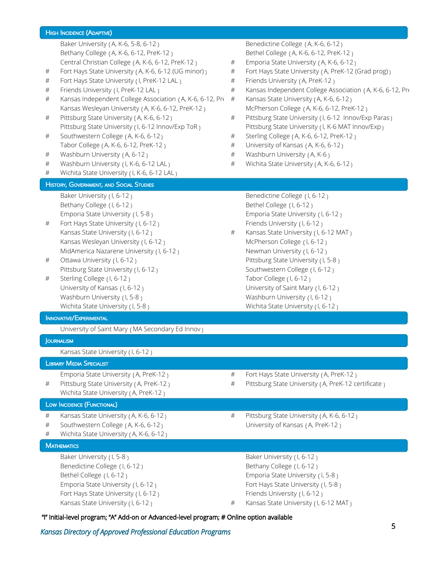## HIGH INCIDENCE (ADAPTIVE) Baker University (A, K-6, 5-8, 6-12) Benedictine College (A, K-6, 6-12) Bethany College (A, K-6, 6-12, PreK-12) Bethel College (A, K-6, 6-12, PreK-12) Central Christian College (A, K-6, 6-12, PreK-12)  $\qquad \qquad # \qquad$  Emporia State University (A, K-6, 6-12) # Fort Hays State University (A, K-6, 6-12 (UG minor)  $\qquad$  Fort Hays State University (A, PreK-12 (Grad prog)) # Fort Hays State University (I, PreK-12 LAL )  $\qquad \qquad \qquad \#$  Friends University (A, PreK-12 ) # Friends University ( I, PreK-12 LAL ) Kansas Independent College Association ( A, K-6, 6-12, PreK-12 Kansas State University (A, K-6, 6-12) # # Kansas Independent College Association (A, K-6, 6-12, Pr $\leftarrow\#$  Kansas State University (A, K-6, 6-12 ) Kansas Wesleyan University (A, K-6, 6-12, PreK-12 ) McPherson College (A, K-6, 6-12, PreK-12 <sub>)</sub> # Pittsburg State University (A, K-6, 6-12) # Pittsburg State University (I, 6-12 Innov/Exp Paras ) Pittsburg State University (1, 6-12 Innov/Exp ToR) Southwestern College (A, K-6, 6-12) Pittsburg State University ( I, K-6 MAT Innov/Exp ) # Southwestern College ( A, K-6, 6-12 ) # Sterling College ( A, K-6, 6-12, PreK-12 ) Tabor College (A, K-6, 6-12, PreK-12)  $\qquad \qquad \qquad \qquad \qquad \qquad \qquad$  University of Kansas (A, K-6, 6-12) # Washburn University (A, 6-12)  $\qquad$  # Washburn University (A, K-6) # Washburn University ( I, K-6, 6-12 LAL ) # Wichita State University ( A, K-6, 6-12 ) # Wichita State University ( I, K-6, 6-12 LAL ) **HISTORY, GOVERNMENT, AND SOCIAL STUDIES** Baker University (1, 6-12) Saker University (1, 6-12) Bethany College (1, 6-12) Bethel College (1, 6-12) Emporia State University ( I, 5-8 ) Emporia State University ( I, 6-12 ) # Fort Hays State University (1, 6-12) Friends University (1, 6-12) Kansas State University (1, 6-12) **#** Kansas State University (1, 6-12 MAT) Kansas Wesleyan University (1, 6-12) McPherson College (1, 6-12) MidAmerica Nazarene University ( I, 6-12 ) Newman University ( I, 6-12 ) # Ottawa University (1, 6-12) 2012 2022 2023 Pittsburg State University (1, 5-8 ) Pittsburg State University (1, 6-12) Southwestern College (1, 6-12) # Sterling College ( I, 6-12 ) Tabor College ( I, 6-12 ) University of Kansas (1, 6-12) University of Saint Mary (1, 6-12) Washburn University (1, 5-8) Washburn University (1, 6-12) Wichita State University (1, 5-8 ) Wichita State University (1, 6-12 ) INNOVATIVE/EXPERIMENTAL University of Saint Mary ( MA Secondary Ed Innov ) **JOURNALISM** Kansas State University ( I, 6-12 ) LIBRARY MEDIA SPECIALIST Emporia State University (A, PreK-12)  $\qquad \qquad \qquad \qquad \qquad \qquad \qquad$  Fort Hays State University (A, PreK-12) # Pittsburg State University (A, PreK-12 )  $\qquad$  # Pittsburg State University (A, PreK-12 certificate ) Wichita State University ( A, PreK-12 ) LOW INCIDENCE (FUNCTIONAL) # Kansas State University ( A, K-6, 6-12 ) # Pittsburg State University ( A, K-6, 6-12 ) # Southwestern College (A, K-6, 6-12) University of Kansas (A, PreK-12) # Wichita State University ( A, K-6, 6-12 ) **MATHEMATICS** Baker University (1, 5-8) Saker University (1, 6-12) Benedictine College (1, 6-12) Benedictine College (1, 6-12) Bethel College (1, 6-12) **Emporia State University (1, 5-8 )** Emporia State University (1, 5-8 ) Emporia State University (1, 6-12) Fort Hays State University (1, 5-8 ) Fort Hays State University (1, 6-12) Friends University (1, 6-12) Kansas State University (I, 6-12) **#** Kansas State University (I, 6-12 MAT)

#### "I" Initial-level program; "A" Add-on or Advanced-level program; # Online option available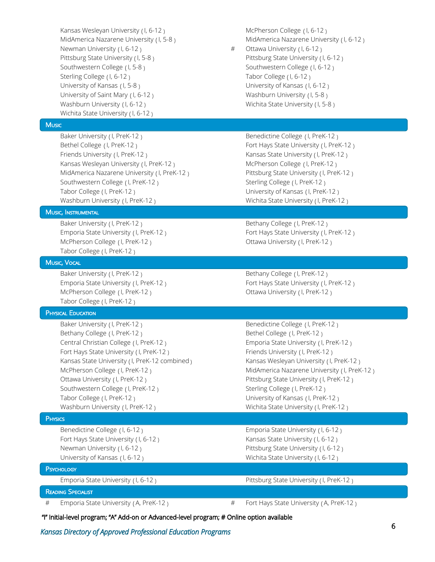Kansas Wesleyan University (1, 6-12) McPherson College (1, 6-12) Newman University ( I, 6-12 ) # Ottawa University ( I, 6-12 ) Southwestern College (1, 5-8) Southwestern College (1, 6-12) Sterling College (1, 6-12) Tabor College (1, 6-12) University of Kansas (1, 5-8 ) University of Kansas (1, 6-12 ) University of Saint Mary (1, 6-12) Washburn University (1, 5-8) Washburn University (I, 6-12) Wichita State University (I, 5-8) Wichita State University (1, 6-12)

# **Music**

Baker University (I, PreK-12) Benedictine College (I, PreK-12) Bethel College ( I, PreK-12 ) Fort Hays State University ( I, PreK-12 ) Friends University ( I, PreK-12 ) Kansas State University ( I, PreK-12 ) Kansas Wesleyan University ( I, PreK-12 ) McPherson College ( I, PreK-12 ) MidAmerica Nazarene University ( I, PreK-12 ) Pittsburg State University ( I, PreK-12 ) Southwestern College (I, PreK-12) Sterling College (I, PreK-12) Tabor College (I, PreK-12) Tabor College (I, PreK-12) Washburn University ( I, PreK-12 ) Wichita State University ( I, PreK-12 )

MUSIC, INSTRUMENTAL

Baker University (I, PreK-12) Sethany College (I, PreK-12) McPherson College ( I, PreK-12 ) Cltawa University ( I, PreK-12 ) Tabor College ( I, PreK-12 )

### MUSIC, VOCAL

Baker University (I, PreK-12) Sethany College (I, PreK-12) McPherson College (I, PreK-12) Cltawa University (I, PreK-12) Tabor College ( I, PreK-12 )

**PHYSICAL EDUCATION** 

Bethany College (I, PreK-12) Bethel College (I, PreK-12) Central Christian College ( I, PreK-12 ) Emporia State University ( I, PreK-12 ) Fort Hays State University ( I, PreK-12 ) Friends University ( I, PreK-12 ) Kansas State University (I, PreK-12 combined) McPherson College (I, PreK-12) Ottawa University ( I, PreK-12 ) Pittsburg State University ( I, PreK-12 ) Southwestern College ( I, PreK-12 ) Sterling College ( I, PreK-12 ) Tabor College (I, PreK-12) Tabor College (I, PreK-12) Washburn University ( I, PreK-12 ) Wichita State University ( I, PreK-12 )

# **PHYSICS**

Benedictine College ( I, 6-12 ) Emporia State University ( I, 6-12 ) Fort Hays State University (1, 6-12) Kansas State University (1, 6-12) Newman University (1, 6-12) The Matter of Pittsburg State University (1, 6-12) University of Kansas (1, 6-12) Vichita State University (1, 6-12)

MidAmerica Nazarene University (1, 5-8) MidAmerica Nazarene University (1, 6-12)

Pittsburg State University ( I, 5-8 ) Pittsburg State University ( I, 6-12 )

Emporia State University ( I, PreK-12 ) Fort Hays State University ( I, PreK-12 )

Emporia State University (I, PreK-12) Fort Hays State University (I, PreK-12)

Baker University (I, PreK-12) Senedictine College (I, PreK-12) Kansas Wesleyan University ( I, PreK-12 ) MidAmerica Nazarene University ( I, PreK-12 )

**PSYCHOLOGY** 

Emporia State University (1, 6-12) Pittsburg State University (1, PreK-12)

READING SPECIALIST

Emporia State University (A, PreK-12)  $\qquad \qquad \qquad \qquad \qquad \qquad \qquad$  Fort Hays State University (A, PreK-12)

"I" Initial-level program; "A" Add-on or Advanced-level program; # Online option available